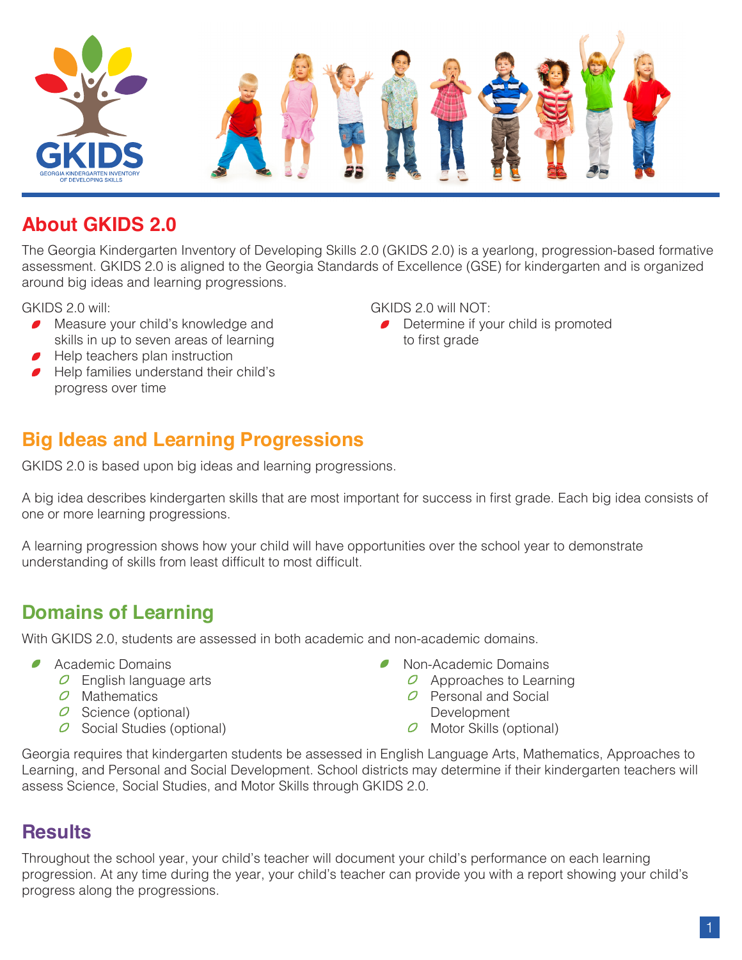

### **About GKIDS 2.0**

The Georgia Kindergarten Inventory of Developing Skills 2.0 (GKIDS 2.0) is a yearlong, progression-based formative assessment. GKIDS 2.0 is aligned to the Georgia Standards of Excellence (GSE) for kindergarten and is organized around big ideas and learning progressions.

GKIDS 2.0 will:

- **•** Measure your child's knowledge and skills in up to seven areas of learning
- **•** Help teachers plan instruction
- **•** Help families understand their child's progress over time

GKIDS 2.0 will NOT:

• Determine if your child is promoted to first grade

# **Big Ideas and Learning Progressions**

GKIDS 2.0 is based upon big ideas and learning progressions.

A big idea describes kindergarten skills that are most important for success in first grade. Each big idea consists of one or more learning progressions.

A learning progression shows how your child will have opportunities over the school year to demonstrate understanding of skills from least difficult to most difficult.

### **Domains of Learning**

With GKIDS 2.0, students are assessed in both academic and non-academic domains.

- **•** Academic Domains
	- $\overline{O}$  English language arts
	- $O$  Mathematics
	- $\overline{O}$  Science (optional)
	- $\overline{O}$  Social Studies (optional)
- Non-Academic Domains
	- $\overline{O}$  Approaches to Learning
	- $O$  Personal and Social
	- Development  $\overline{O}$  Motor Skills (optional)

Georgia requires that kindergarten students be assessed in English Language Arts, Mathematics, Approaches to Learning, and Personal and Social Development. School districts may determine if their kindergarten teachers will assess Science, Social Studies, and Motor Skills through GKIDS 2.0.

### **Results**

Throughout the school year, your child's teacher will document your child's performance on each learning progression. At any time during the year, your child's teacher can provide you with a report showing your child's progress along the progressions.